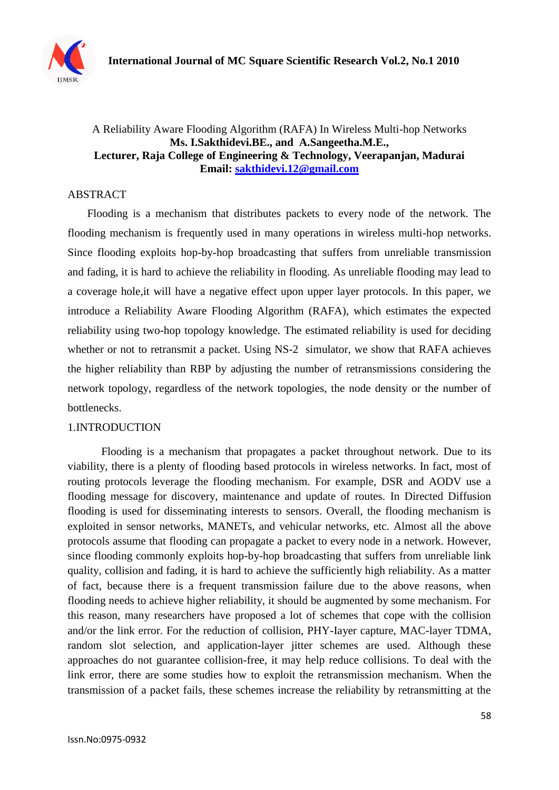

## A Reliability Aware Flooding Algorithm (RAFA) In Wireless Multi-hop Networks **Ms. I.Sakthidevi.BE., and A.Sangeetha.M.E., Lecturer, Raja College of Engineering & Technology, Veerapanjan, Madurai Email: [sakthidevi.12@gmail.com](mailto:sakthidevi.12@gmail.com)**

### ABSTRACT

 Flooding is a mechanism that distributes packets to every node of the network. The flooding mechanism is frequently used in many operations in wireless multi-hop networks. Since flooding exploits hop-by-hop broadcasting that suffers from unreliable transmission and fading, it is hard to achieve the reliability in flooding. As unreliable flooding may lead to a coverage hole,it will have a negative effect upon upper layer protocols. In this paper, we introduce a Reliability Aware Flooding Algorithm (RAFA), which estimates the expected reliability using two-hop topology knowledge. The estimated reliability is used for deciding whether or not to retransmit a packet. Using NS-2 simulator, we show that RAFA achieves the higher reliability than RBP by adjusting the number of retransmissions considering the network topology, regardless of the network topologies, the node density or the number of bottlenecks.

#### 1.INTRODUCTION

Flooding is a mechanism that propagates a packet throughout network. Due to its viability, there is a plenty of flooding based protocols in wireless networks. In fact, most of routing protocols leverage the flooding mechanism. For example, DSR and AODV use a flooding message for discovery, maintenance and update of routes. In Directed Diffusion flooding is used for disseminating interests to sensors. Overall, the flooding mechanism is exploited in sensor networks, MANETs, and vehicular networks, etc. Almost all the above protocols assume that flooding can propagate a packet to every node in a network. However, since flooding commonly exploits hop-by-hop broadcasting that suffers from unreliable link quality, collision and fading, it is hard to achieve the sufficiently high reliability. As a matter of fact, because there is a frequent transmission failure due to the above reasons, when flooding needs to achieve higher reliability, it should be augmented by some mechanism. For this reason, many researchers have proposed a lot of schemes that cope with the collision and/or the link error. For the reduction of collision, PHY-Iayer capture, MAC-layer TDMA, random slot selection, and application-layer jitter schemes are used. Although these approaches do not guarantee collision-free, it may help reduce collisions. To deal with the link error, there are some studies how to exploit the retransmission mechanism. When the transmission of a packet fails, these schemes increase the reliability by retransmitting at the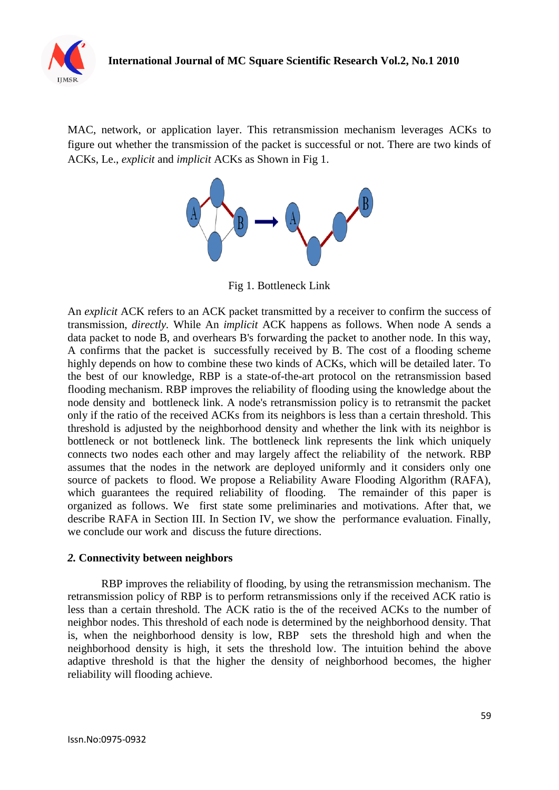

MAC, network, or application layer. This retransmission mechanism leverages ACKs to figure out whether the transmission of the packet is successful or not. There are two kinds of ACKs, Le., *explicit* and *implicit* ACKs as Shown in Fig 1.



Fig 1. Bottleneck Link

An *explicit* ACK refers to an ACK packet transmitted by a receiver to confirm the success of transmission, *directly.* While An *implicit* ACK happens as follows. When node A sends a data packet to node B, and overhears B's forwarding the packet to another node. In this way, A confirms that the packet is successfully received by B. The cost of a flooding scheme highly depends on how to combine these two kinds of ACKs, which will be detailed later. To the best of our knowledge, RBP is a state-of-the-art protocol on the retransmission based flooding mechanism. RBP improves the reliability of flooding using the knowledge about the node density and bottleneck link. A node's retransmission policy is to retransmit the packet only if the ratio of the received ACKs from its neighbors is less than a certain threshold. This threshold is adjusted by the neighborhood density and whether the link with its neighbor is bottleneck or not bottleneck link. The bottleneck link represents the link which uniquely connects two nodes each other and may largely affect the reliability of the network. RBP assumes that the nodes in the network are deployed uniformly and it considers only one source of packets to flood. We propose a Reliability Aware Flooding Algorithm (RAFA), which guarantees the required reliability of flooding. The remainder of this paper is organized as follows. We first state some preliminaries and motivations. After that, we describe RAFA in Section III. In Section IV, we show the performance evaluation. Finally, we conclude our work and discuss the future directions.

#### *2.* **Connectivity between neighbors**

RBP improves the reliability of flooding, by using the retransmission mechanism. The retransmission policy of RBP is to perform retransmissions only if the received ACK ratio is less than a certain threshold. The ACK ratio is the of the received ACKs to the number of neighbor nodes. This threshold of each node is determined by the neighborhood density. That is, when the neighborhood density is low, RBP sets the threshold high and when the neighborhood density is high, it sets the threshold low. The intuition behind the above adaptive threshold is that the higher the density of neighborhood becomes, the higher reliability will flooding achieve.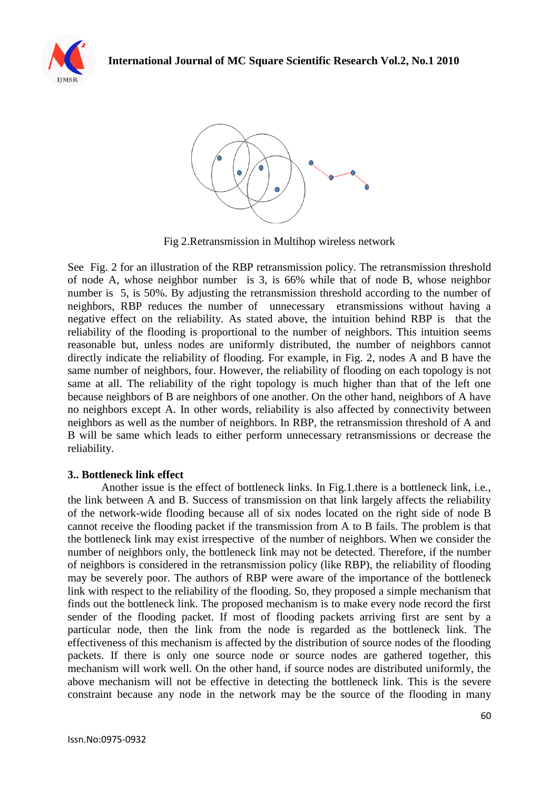



Fig 2.Retransmission in Multihop wireless network

See Fig. 2 for an illustration of the RBP retransmission policy. The retransmission threshold of node A, whose neighbor number is 3, is 66% while that of node B, whose neighbor number is 5, is 50%. By adjusting the retransmission threshold according to the number of neighbors, RBP reduces the number of unnecessary etransmissions without having a negative effect on the reliability. As stated above, the intuition behind RBP is that the reliability of the flooding is proportional to the number of neighbors. This intuition seems reasonable but, unless nodes are uniformly distributed, the number of neighbors cannot directly indicate the reliability of flooding. For example, in Fig. 2, nodes A and B have the same number of neighbors, four. However, the reliability of flooding on each topology is not same at all. The reliability of the right topology is much higher than that of the left one because neighbors of B are neighbors of one another. On the other hand, neighbors of A have no neighbors except A. In other words, reliability is also affected by connectivity between neighbors as well as the number of neighbors. In RBP, the retransmission threshold of A and B will be same which leads to either perform unnecessary retransmissions or decrease the reliability.

## **3.. Bottleneck link effect**

Another issue is the effect of bottleneck links. In Fig.1.there is a bottleneck link, i.e., the link between A and B. Success of transmission on that link largely affects the reliability of the network-wide flooding because all of six nodes located on the right side of node B cannot receive the flooding packet if the transmission from A to B fails. The problem is that the bottleneck link may exist irrespective of the number of neighbors. When we consider the number of neighbors only, the bottleneck link may not be detected. Therefore, if the number of neighbors is considered in the retransmission policy (like RBP), the reliability of flooding may be severely poor. The authors of RBP were aware of the importance of the bottleneck link with respect to the reliability of the flooding. So, they proposed a simple mechanism that finds out the bottleneck link. The proposed mechanism is to make every node record the first sender of the flooding packet. If most of flooding packets arriving first are sent by a particular node, then the link from the node is regarded as the bottleneck link. The effectiveness of this mechanism is affected by the distribution of source nodes of the flooding packets. If there is only one source node or source nodes are gathered together, this mechanism will work well. On the other hand, if source nodes are distributed uniformly, the above mechanism will not be effective in detecting the bottleneck link. This is the severe constraint because any node in the network may be the source of the flooding in many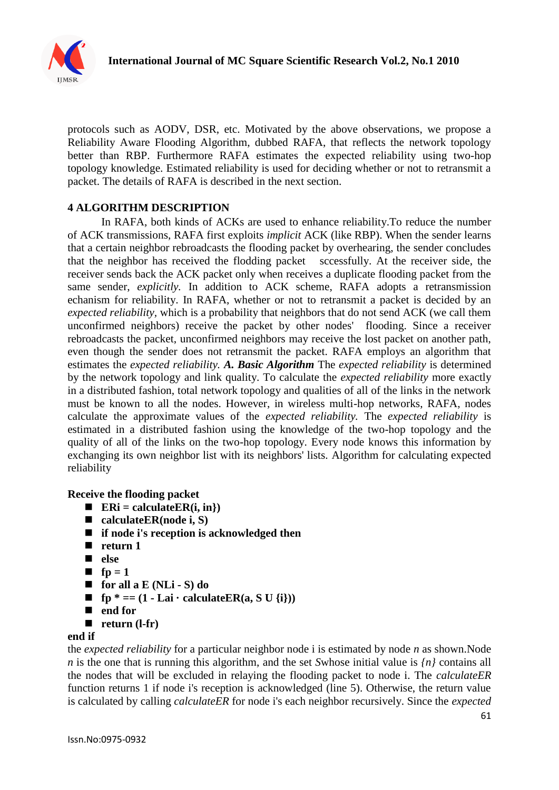

protocols such as AODV, DSR, etc. Motivated by the above observations, we propose a Reliability Aware Flooding Algorithm, dubbed RAFA, that reflects the network topology better than RBP. Furthermore RAFA estimates the expected reliability using two-hop topology knowledge. Estimated reliability is used for deciding whether or not to retransmit a packet. The details of RAFA is described in the next section.

# **4 ALGORITHM DESCRIPTION**

In RAFA, both kinds of ACKs are used to enhance reliability.To reduce the number of ACK transmissions, RAFA first exploits *implicit* ACK (like RBP). When the sender learns that a certain neighbor rebroadcasts the flooding packet by overhearing, the sender concludes that the neighbor has received the flodding packet sccessfully. At the receiver side, the receiver sends back the ACK packet only when receives a duplicate flooding packet from the same sender, *explicitly.* In addition to ACK scheme, RAFA adopts a retransmission echanism for reliability. In RAFA, whether or not to retransmit a packet is decided by an *expected reliability,* which is a probability that neighbors that do not send ACK (we call them unconfirmed neighbors) receive the packet by other nodes' flooding. Since a receiver rebroadcasts the packet, unconfirmed neighbors may receive the lost packet on another path, even though the sender does not retransmit the packet. RAFA employs an algorithm that estimates the *expected reliability. A. Basic Algorithm* The *expected reliability* is determined by the network topology and link quality. To calculate the *expected reliability* more exactly in a distributed fashion, total network topology and qualities of all of the links in the network must be known to all the nodes. However, in wireless multi-hop networks, RAFA, nodes calculate the approximate values of the *expected reliability.* The *expected reliability* is estimated in a distributed fashion using the knowledge of the two-hop topology and the quality of all of the links on the two-hop topology. Every node knows this information by exchanging its own neighbor list with its neighbors' lists. Algorithm for calculating expected reliability

#### **Receive the flooding packet**

- **ERi** = calculate  $ER(i, in)$
- calculateER(node i, S)
- **if node i's reception is acknowledged then**
- **return 1**
- **else**
- $\blacksquare$  fp = 1
- **for all a E (NLi - S) do**
- **f**  $\mathbf{f} \cdot \mathbf{f} = (1 \mathbf{L} \cdot \mathbf{A} \cdot \mathbf{A}) \cdot \mathbf{A} \cdot \mathbf{A} \cdot \mathbf{A} \cdot \mathbf{A} \cdot \mathbf{A} \cdot \mathbf{B} \cdot \mathbf{B} \cdot \mathbf{B} \cdot \mathbf{A} \cdot \mathbf{B} \cdot \mathbf{B} \cdot \mathbf{B} \cdot \mathbf{B} \cdot \mathbf{B} \cdot \mathbf{B} \cdot \mathbf{B} \cdot \mathbf{B} \cdot \mathbf{B} \cdot \mathbf{B} \cdot \mathbf{B} \cdot \mathbf{B} \cdot \mathbf{B}$
- end for
- return (l-fr)

#### **end if**

the *expected reliability* for a particular neighbor node i is estimated by node *n* as shown.Node *n* is the one that is running this algorithm, and the set *S*whose initial value is *{n}* contains all the nodes that will be excluded in relaying the flooding packet to node i. The *calculateER*  function returns 1 if node i's reception is acknowledged (line 5). Otherwise, the return value is calculated by calling *calculateER* for node i's each neighbor recursively. Since the *expected*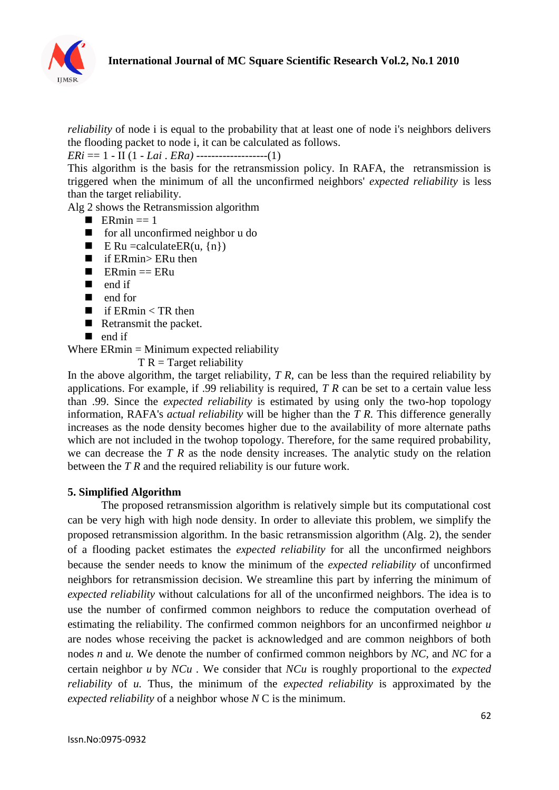

*reliability* of node *i* is equal to the probability that at least one of node *i*'s neighbors delivers the flooding packet to node i, it can be calculated as follows.

*ERi* == 1 - II (1 - *Lai* . *ERa) -------------------*(1)

This algorithm is the basis for the retransmission policy. In RAFA, the retransmission is triggered when the minimum of all the unconfirmed neighbors' *expected reliability* is less than the target reliability.

Alg 2 shows the Retransmission algorithm

- ERmin  $== 1$
- for all unconfirmed neighbor u do
- E Ru = calculate  $ER(u, \{n\})$
- $\blacksquare$  if ERmin> ERu then
- $\blacksquare$  ERmin == ERu
- $\blacksquare$  end if
- **n** end for
- $\blacksquare$  if ERmin < TR then
- Retransmit the packet.
- $\blacksquare$  end if

Where  $ERmin = Minimum expected reliability$ 

 $T R = Target reliability$ 

In the above algorithm, the target reliability, *T R,* can be less than the required reliability by applications. For example, if .99 reliability is required, *T R* can be set to a certain value less than .99. Since the *expected reliability* is estimated by using only the two-hop topology information, RAFA's *actual reliability* will be higher than the *T R.* This difference generally increases as the node density becomes higher due to the availability of more alternate paths which are not included in the twohop topology. Therefore, for the same required probability, we can decrease the *T R* as the node density increases. The analytic study on the relation between the *T R* and the required reliability is our future work.

## **5. Simplified Algorithm**

The proposed retransmission algorithm is relatively simple but its computational cost can be very high with high node density. In order to alleviate this problem, we simplify the proposed retransmission algorithm. In the basic retransmission algorithm (Alg. 2), the sender of a flooding packet estimates the *expected reliability* for all the unconfirmed neighbors because the sender needs to know the minimum of the *expected reliability* of unconfirmed neighbors for retransmission decision. We streamline this part by inferring the minimum of *expected reliability* without calculations for all of the unconfirmed neighbors. The idea is to use the number of confirmed common neighbors to reduce the computation overhead of estimating the reliability. The confirmed common neighbors for an unconfirmed neighbor *u*  are nodes whose receiving the packet is acknowledged and are common neighbors of both nodes *n* and *u.* We denote the number of confirmed common neighbors by *NC,* and *NC* for a certain neighbor *u* by *NCu .* We consider that *NCu* is roughly proportional to the *expected reliability* of *u.* Thus, the minimum of the *expected reliability* is approximated by the *expected reliability* of a neighbor whose *N* C is the minimum.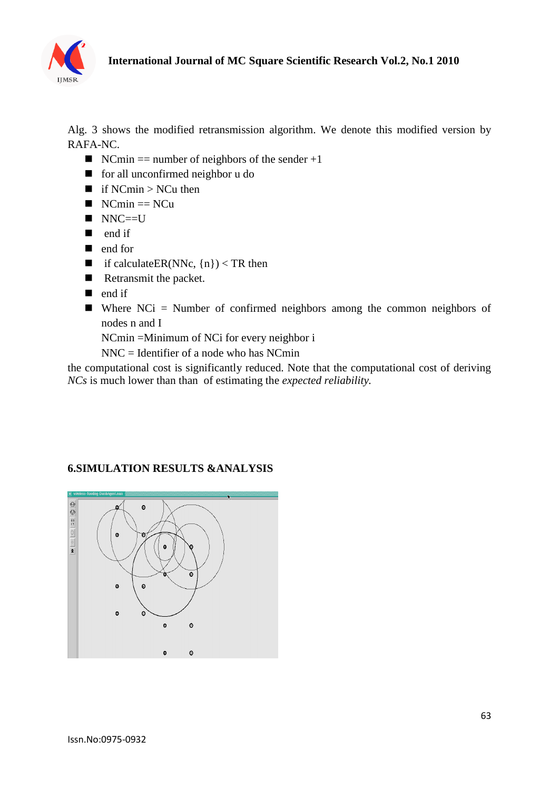

Alg. 3 shows the modified retransmission algorithm. We denote this modified version by RAFA-NC.

- NCmin  $=$  number of neighbors of the sender  $+1$
- for all unconfirmed neighbor u do
- $\blacksquare$  if NCmin > NCu then
- $\blacksquare$  NCmin == NCu
- $NNC == U$
- $\blacksquare$  end if
- **n** end for
- if calculateER(NNc,  $\{n\}$ ) < TR then
- Retransmit the packet.
- $\blacksquare$  end if
- Where  $NCi$  = Number of confirmed neighbors among the common neighbors of nodes n and I

NCmin =Minimum of NCi for every neighbor i

NNC = Identifier of a node who has NCmin

the computational cost is significantly reduced. Note that the computational cost of deriving *NCs* is much lower than than of estimating the *expected reliability.*

## **6.SIMULATION RESULTS &ANALYSIS**

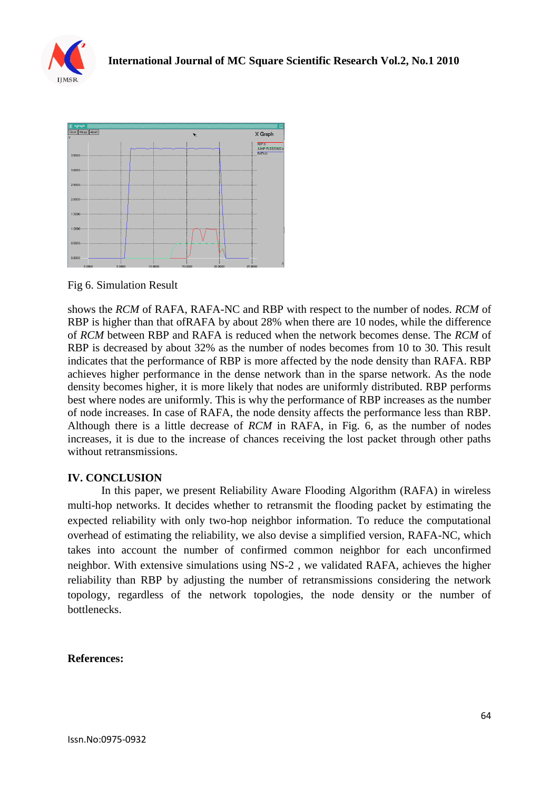



Fig 6. Simulation Result

shows the *RCM* of RAFA, RAFA-NC and RBP with respect to the number of nodes. *RCM* of RBP is higher than that ofRAFA by about 28% when there are 10 nodes, while the difference of *RCM* between RBP and RAFA is reduced when the network becomes dense. The *RCM* of RBP is decreased by about 32% as the number of nodes becomes from 10 to 30. This result indicates that the performance of RBP is more affected by the node density than RAFA. RBP achieves higher performance in the dense network than in the sparse network. As the node density becomes higher, it is more likely that nodes are uniformly distributed. RBP performs best where nodes are uniformly. This is why the performance of RBP increases as the number of node increases. In case of RAFA, the node density affects the performance less than RBP. Although there is a little decrease of *RCM* in RAFA, in Fig. 6, as the number of nodes increases, it is due to the increase of chances receiving the lost packet through other paths without retransmissions.

## **IV. CONCLUSION**

In this paper, we present Reliability Aware Flooding Algorithm (RAFA) in wireless multi-hop networks. It decides whether to retransmit the flooding packet by estimating the expected reliability with only two-hop neighbor information. To reduce the computational overhead of estimating the reliability, we also devise a simplified version, RAFA-NC, which takes into account the number of confirmed common neighbor for each unconfirmed neighbor. With extensive simulations using NS-2 , we validated RAFA, achieves the higher reliability than RBP by adjusting the number of retransmissions considering the network topology, regardless of the network topologies, the node density or the number of bottlenecks.

#### **References:**